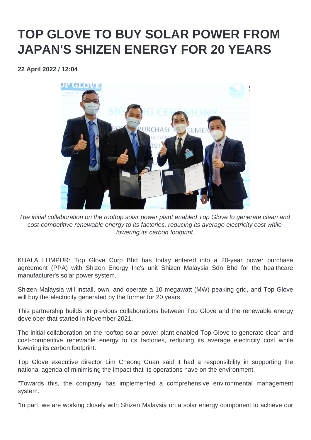## **TOP GLOVE TO BUY SOLAR POWER FROM JAPAN'S SHIZEN ENERGY FOR 20 YEARS**

**22 April 2022 / 12:04** 



The initial collaboration on the rooftop solar power plant enabled Top Glove to generate clean and cost-competitive renewable energy to its factories, reducing its average electricity cost while lowering its carbon footprint.

KUALA LUMPUR: Top Glove Corp Bhd has today entered into a 20-year power purchase agreement (PPA) with Shizen Energy Inc's unit Shizen Malaysia Sdn Bhd for the healthcare manufacturer's solar power system.

Shizen Malaysia will install, own, and operate a 10 megawatt (MW) peaking grid, and Top Glove will buy the electricity generated by the former for 20 years.

This partnership builds on previous collaborations between Top Glove and the renewable energy developer that started in November 2021.

The initial collaboration on the rooftop solar power plant enabled Top Glove to generate clean and cost-competitive renewable energy to its factories, reducing its average electricity cost while lowering its carbon footprint.

Top Glove executive director Lim Cheong Guan said it had a responsibility in supporting the national agenda of minimising the impact that its operations have on the environment.

"Towards this, the company has implemented a comprehensive environmental management system.

"In part, we are working closely with Shizen Malaysia on a solar energy component to achieve our